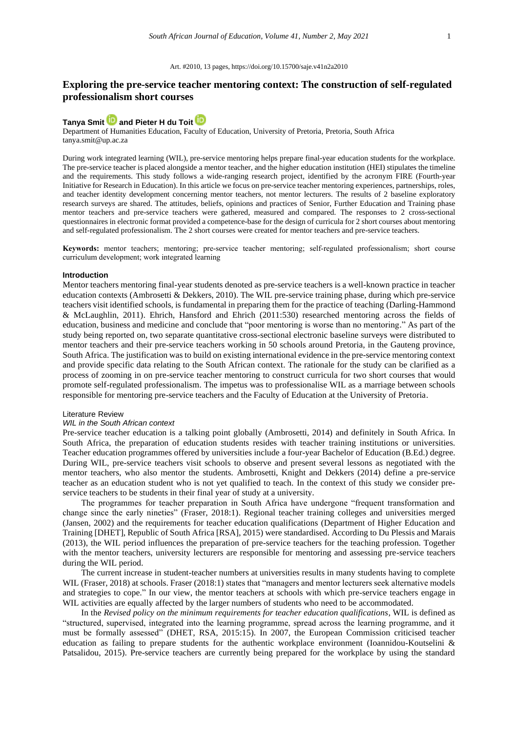# **Exploring the pre-service teacher mentoring context: The construction of self-regulated professionalism short courses**

# **[Tanya Smit](https://orcid.org/0000-0002-9070-2799) an[d Pieter H du Toit](https://orcid.org/0000-0003-3394-8140)**

Department of Humanities Education, Faculty of Education, University of Pretoria, Pretoria, South Africa [tanya.smit@up.ac.za](mailto:tanya.smit@up.ac.za)

During work integrated learning (WIL), pre-service mentoring helps prepare final-year education students for the workplace. The pre-service teacher is placed alongside a mentor teacher, and the higher education institution (HEI) stipulates the timeline and the requirements. This study follows a wide-ranging research project, identified by the acronym FIRE (Fourth-year Initiative for Research in Education). In this article we focus on pre-service teacher mentoring experiences, partnerships, roles, and teacher identity development concerning mentor teachers, not mentor lecturers. The results of 2 baseline exploratory research surveys are shared. The attitudes, beliefs, opinions and practices of Senior, Further Education and Training phase mentor teachers and pre-service teachers were gathered, measured and compared. The responses to 2 cross-sectional questionnaires in electronic format provided a competence-base for the design of curricula for 2 short courses about mentoring and self-regulated professionalism. The 2 short courses were created for mentor teachers and pre-service teachers.

**Keywords:** mentor teachers; mentoring; pre-service teacher mentoring; self-regulated professionalism; short course curriculum development; work integrated learning

#### **Introduction**

Mentor teachers mentoring final-year students denoted as pre-service teachers is a well-known practice in teacher education contexts (Ambrosetti & Dekkers, 2010). The WIL pre-service training phase, during which pre-service teachers visit identified schools, is fundamental in preparing them for the practice of teaching (Darling-Hammond & McLaughlin, 2011). Ehrich, Hansford and Ehrich (2011:530) researched mentoring across the fields of education, business and medicine and conclude that "poor mentoring is worse than no mentoring." As part of the study being reported on, two separate quantitative cross-sectional electronic baseline surveys were distributed to mentor teachers and their pre-service teachers working in 50 schools around Pretoria, in the Gauteng province, South Africa. The justification was to build on existing international evidence in the pre-service mentoring context and provide specific data relating to the South African context. The rationale for the study can be clarified as a process of zooming in on pre-service teacher mentoring to construct curricula for two short courses that would promote self-regulated professionalism. The impetus was to professionalise WIL as a marriage between schools responsible for mentoring pre-service teachers and the Faculty of Education at the University of Pretoria.

#### Literature Review

## *WIL in the South African context*

Pre-service teacher education is a talking point globally (Ambrosetti, 2014) and definitely in South Africa. In South Africa, the preparation of education students resides with teacher training institutions or universities. Teacher education programmes offered by universities include a four-year Bachelor of Education (B.Ed.) degree. During WIL, pre-service teachers visit schools to observe and present several lessons as negotiated with the mentor teachers, who also mentor the students. Ambrosetti, Knight and Dekkers (2014) define a pre-service teacher as an education student who is not yet qualified to teach. In the context of this study we consider preservice teachers to be students in their final year of study at a university.

The programmes for teacher preparation in South Africa have undergone "frequent transformation and change since the early nineties" (Fraser, 2018:1). Regional teacher training colleges and universities merged (Jansen, 2002) and the requirements for teacher education qualifications (Department of Higher Education and Training [DHET], Republic of South Africa [RSA], 2015) were standardised. According to Du Plessis and Marais (2013), the WIL period influences the preparation of pre-service teachers for the teaching profession. Together with the mentor teachers, university lecturers are responsible for mentoring and assessing pre-service teachers during the WIL period.

The current increase in student-teacher numbers at universities results in many students having to complete WIL (Fraser, 2018) at schools. Fraser (2018:1) states that "managers and mentor lecturers seek alternative models and strategies to cope." In our view, the mentor teachers at schools with which pre-service teachers engage in WIL activities are equally affected by the larger numbers of students who need to be accommodated.

In the *Revised policy on the minimum requirements for teacher education qualifications*, WIL is defined as "structured, supervised, integrated into the learning programme, spread across the learning programme, and it must be formally assessed" (DHET, RSA, 2015:15). In 2007, the European Commission criticised teacher education as failing to prepare students for the authentic workplace environment (Ioannidou-Koutselini & Patsalidou, 2015). Pre-service teachers are currently being prepared for the workplace by using the standard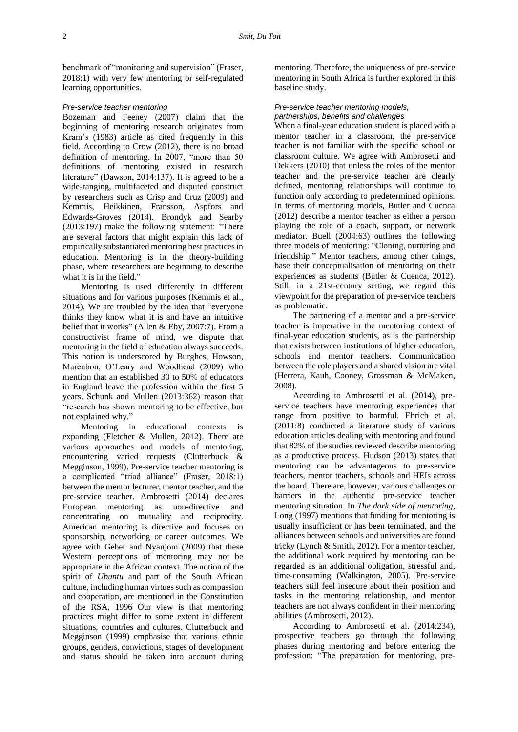benchmark of "monitoring and supervision" (Fraser, 2018:1) with very few mentoring or self-regulated learning opportunities.

#### *Pre-service teacher mentoring*

Bozeman and Feeney (2007) claim that the beginning of mentoring research originates from Kram's (1983) article as cited frequently in this field. According to Crow (2012), there is no broad definition of mentoring. In 2007, "more than 50 definitions of mentoring existed in research literature" (Dawson, 2014:137). It is agreed to be a wide-ranging, multifaceted and disputed construct by researchers such as Crisp and Cruz (2009) and Kemmis, Heikkinen, Fransson, Aspfors and Edwards-Groves (2014). Brondyk and Searby (2013:197) make the following statement: "There are several factors that might explain this lack of empirically substantiated mentoring best practices in education. Mentoring is in the theory-building phase, where researchers are beginning to describe what it is in the field."

Mentoring is used differently in different situations and for various purposes (Kemmis et al., 2014). We are troubled by the idea that "everyone thinks they know what it is and have an intuitive belief that it works" (Allen & Eby, 2007:7). From a constructivist frame of mind, we dispute that mentoring in the field of education always succeeds. This notion is underscored by Burghes, Howson, Marenbon, O'Leary and Woodhead (2009) who mention that an established 30 to 50% of educators in England leave the profession within the first 5 years. Schunk and Mullen (2013:362) reason that "research has shown mentoring to be effective, but not explained why."

Mentoring in educational contexts is expanding (Fletcher & Mullen, 2012). There are various approaches and models of mentoring, encountering varied requests (Clutterbuck & Megginson, 1999). Pre-service teacher mentoring is a complicated "triad alliance" (Fraser, 2018:1) between the mentor lecturer, mentor teacher, and the pre-service teacher. Ambrosetti (2014) declares European mentoring as non-directive and concentrating on mutuality and reciprocity. American mentoring is directive and focuses on sponsorship, networking or career outcomes. We agree with Geber and Nyanjom (2009) that these Western perceptions of mentoring may not be appropriate in the African context. The notion of the spirit of *Ubuntu* and part of the South African culture, including human virtues such as compassion and cooperation, are mentioned in the Constitution of the RSA, 1996 Our view is that mentoring practices might differ to some extent in different situations, countries and cultures. Clutterbuck and Megginson (1999) emphasise that various ethnic groups, genders, convictions, stages of development and status should be taken into account during

mentoring. Therefore, the uniqueness of pre-service mentoring in South Africa is further explored in this baseline study.

#### *Pre-service teacher mentoring models, partnerships, benefits and challenges*

When a final-year education student is placed with a mentor teacher in a classroom, the pre-service teacher is not familiar with the specific school or classroom culture. We agree with Ambrosetti and Dekkers (2010) that unless the roles of the mentor teacher and the pre-service teacher are clearly defined, mentoring relationships will continue to function only according to predetermined opinions. In terms of mentoring models, Butler and Cuenca (2012) describe a mentor teacher as either a person playing the role of a coach, support, or network mediator. Buell (2004:63) outlines the following three models of mentoring: "Cloning, nurturing and friendship." Mentor teachers, among other things, base their conceptualisation of mentoring on their experiences as students (Butler & Cuenca, 2012). Still, in a 21st-century setting, we regard this viewpoint for the preparation of pre-service teachers as problematic.

The partnering of a mentor and a pre-service teacher is imperative in the mentoring context of final-year education students, as is the partnership that exists between institutions of higher education, schools and mentor teachers. Communication between the role players and a shared vision are vital (Herrera, Kauh, Cooney, Grossman & McMaken, 2008).

According to Ambrosetti et al. (2014), preservice teachers have mentoring experiences that range from positive to harmful. Ehrich et al. (2011:8) conducted a literature study of various education articles dealing with mentoring and found that 82% of the studies reviewed describe mentoring as a productive process. Hudson (2013) states that mentoring can be advantageous to pre-service teachers, mentor teachers, schools and HEIs across the board. There are, however, various challenges or barriers in the authentic pre-service teacher mentoring situation. In *The dark side of mentoring*, Long (1997) mentions that funding for mentoring is usually insufficient or has been terminated, and the alliances between schools and universities are found tricky (Lynch & Smith, 2012). For a mentor teacher, the additional work required by mentoring can be regarded as an additional obligation, stressful and, time-consuming (Walkington, 2005). Pre-service teachers still feel insecure about their position and tasks in the mentoring relationship, and mentor teachers are not always confident in their mentoring abilities (Ambrosetti, 2012).

According to Ambrosetti et al. (2014:234), prospective teachers go through the following phases during mentoring and before entering the profession: "The preparation for mentoring, pre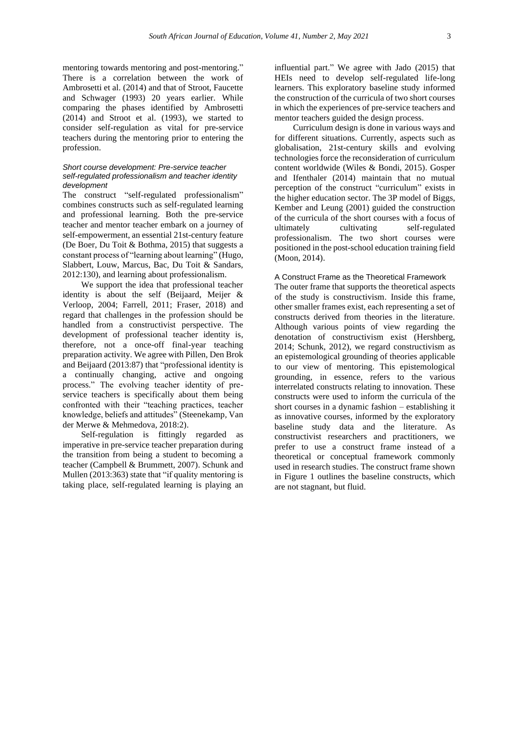mentoring towards mentoring and post-mentoring." There is a correlation between the work of Ambrosetti et al. (2014) and that of Stroot, Faucette and Schwager (1993) 20 years earlier. While comparing the phases identified by Ambrosetti (2014) and Stroot et al. (1993), we started to consider self-regulation as vital for pre-service teachers during the mentoring prior to entering the profession.

#### *Short course development: Pre-service teacher self-regulated professionalism and teacher identity development*

The construct "self-regulated professionalism" combines constructs such as self-regulated learning and professional learning. Both the pre-service teacher and mentor teacher embark on a journey of self-empowerment, an essential 21st-century feature (De Boer, Du Toit & Bothma, 2015) that suggests a constant process of "learning about learning" (Hugo, Slabbert, Louw, Marcus, Bac, Du Toit & Sandars, 2012:130), and learning about professionalism.

We support the idea that professional teacher identity is about the self (Beijaard, Meijer & Verloop, 2004; Farrell, 2011; Fraser, 2018) and regard that challenges in the profession should be handled from a constructivist perspective. The development of professional teacher identity is, therefore, not a once-off final-year teaching preparation activity. We agree with Pillen, Den Brok and Beijaard (2013:87) that "professional identity is a continually changing, active and ongoing process." The evolving teacher identity of preservice teachers is specifically about them being confronted with their "teaching practices, teacher knowledge, beliefs and attitudes" (Steenekamp*,* Van der Merwe & Mehmedova*,* 2018:2).

Self-regulation is fittingly regarded as imperative in pre-service teacher preparation during the transition from being a student to becoming a teacher (Campbell & Brummett, 2007). Schunk and Mullen (2013:363) state that "if quality mentoring is taking place, self-regulated learning is playing an

influential part." We agree with Jado (2015) that HEIs need to develop self-regulated life-long learners. This exploratory baseline study informed the construction of the curricula of two short courses in which the experiences of pre-service teachers and mentor teachers guided the design process.

Curriculum design is done in various ways and for different situations. Currently, aspects such as globalisation, 21st-century skills and evolving technologies force the reconsideration of curriculum content worldwide (Wiles & Bondi, 2015). Gosper and Ifenthaler (2014) maintain that no mutual perception of the construct "curriculum" exists in the higher education sector. The 3P model of Biggs, Kember and Leung (2001) guided the construction of the curricula of the short courses with a focus of ultimately cultivating self-regulated professionalism. The two short courses were positioned in the post-school education training field (Moon, 2014).

#### A Construct Frame as the Theoretical Framework

The outer frame that supports the theoretical aspects of the study is constructivism. Inside this frame, other smaller frames exist, each representing a set of constructs derived from theories in the literature. Although various points of view regarding the denotation of constructivism exist (Hershberg, 2014; Schunk, 2012), we regard constructivism as an epistemological grounding of theories applicable to our view of mentoring. This epistemological grounding, in essence, refers to the various interrelated constructs relating to innovation. These constructs were used to inform the curricula of the short courses in a dynamic fashion – establishing it as innovative courses, informed by the exploratory baseline study data and the literature. As constructivist researchers and practitioners, we prefer to use a construct frame instead of a theoretical or conceptual framework commonly used in research studies. The construct frame shown in Figure 1 outlines the baseline constructs, which are not stagnant, but fluid.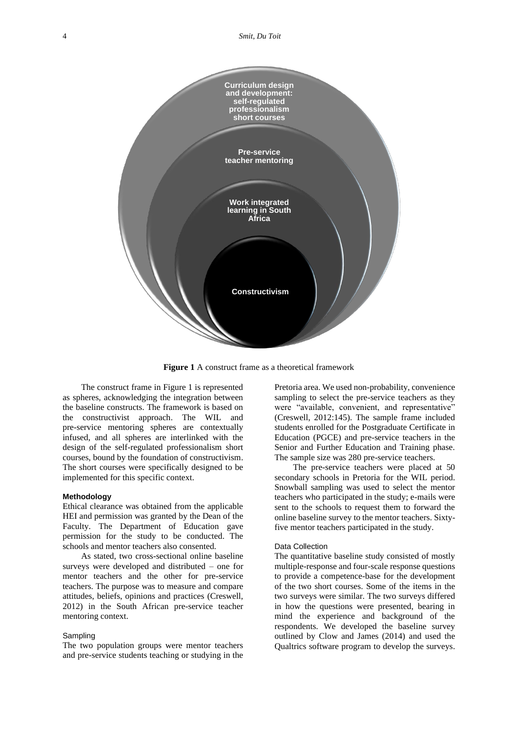

**Figure 1** A construct frame as a theoretical framework

The construct frame in Figure 1 is represented as spheres, acknowledging the integration between the baseline constructs. The framework is based on the constructivist approach. The WIL and pre-service mentoring spheres are contextually infused, and all spheres are interlinked with the design of the self-regulated professionalism short courses, bound by the foundation of constructivism. The short courses were specifically designed to be implemented for this specific context.

#### **Methodology**

Ethical clearance was obtained from the applicable HEI and permission was granted by the Dean of the Faculty. The Department of Education gave permission for the study to be conducted. The schools and mentor teachers also consented.

As stated, two cross-sectional online baseline surveys were developed and distributed – one for mentor teachers and the other for pre-service teachers. The purpose was to measure and compare attitudes, beliefs, opinions and practices (Creswell, 2012) in the South African pre-service teacher mentoring context.

## **Sampling**

The two population groups were mentor teachers and pre-service students teaching or studying in the

Pretoria area. We used non-probability, convenience sampling to select the pre-service teachers as they were "available, convenient, and representative" (Creswell, 2012:145). The sample frame included students enrolled for the Postgraduate Certificate in Education (PGCE) and pre-service teachers in the Senior and Further Education and Training phase. The sample size was 280 pre-service teachers.

The pre-service teachers were placed at 50 secondary schools in Pretoria for the WIL period. Snowball sampling was used to select the mentor teachers who participated in the study; e-mails were sent to the schools to request them to forward the online baseline survey to the mentor teachers. Sixtyfive mentor teachers participated in the study.

#### Data Collection

The quantitative baseline study consisted of mostly multiple-response and four-scale response questions to provide a competence-base for the development of the two short courses. Some of the items in the two surveys were similar. The two surveys differed in how the questions were presented, bearing in mind the experience and background of the respondents. We developed the baseline survey outlined by Clow and James (2014) and used the Qualtrics software program to develop the surveys.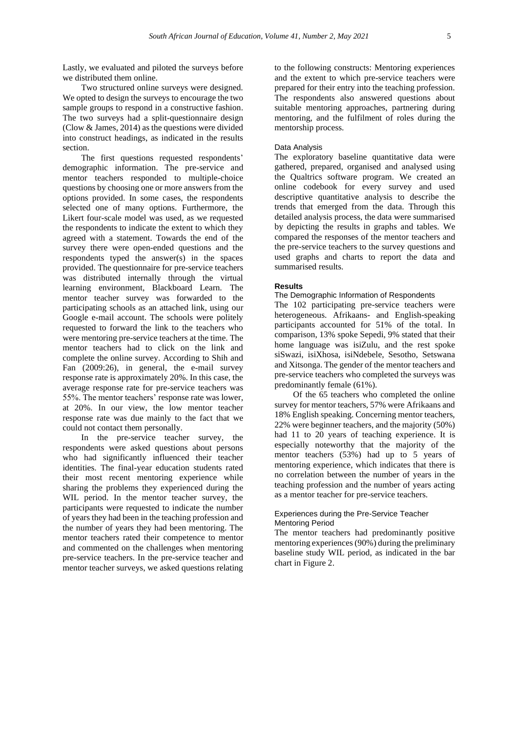Lastly, we evaluated and piloted the surveys before we distributed them online.

Two structured online surveys were designed. We opted to design the surveys to encourage the two sample groups to respond in a constructive fashion. The two surveys had a split-questionnaire design (Clow & James, 2014) as the questions were divided into construct headings, as indicated in the results section.

The first questions requested respondents' demographic information. The pre-service and mentor teachers responded to multiple-choice questions by choosing one or more answers from the options provided. In some cases, the respondents selected one of many options. Furthermore, the Likert four-scale model was used, as we requested the respondents to indicate the extent to which they agreed with a statement. Towards the end of the survey there were open-ended questions and the respondents typed the answer(s) in the spaces provided. The questionnaire for pre-service teachers was distributed internally through the virtual learning environment, Blackboard Learn. The mentor teacher survey was forwarded to the participating schools as an attached link, using our Google e-mail account. The schools were politely requested to forward the link to the teachers who were mentoring pre-service teachers at the time. The mentor teachers had to click on the link and complete the online survey. According to Shih and Fan (2009:26), in general, the e-mail survey response rate is approximately 20%. In this case, the average response rate for pre-service teachers was 55%. The mentor teachers' response rate was lower, at 20%. In our view, the low mentor teacher response rate was due mainly to the fact that we could not contact them personally.

In the pre-service teacher survey, the respondents were asked questions about persons who had significantly influenced their teacher identities. The final-year education students rated their most recent mentoring experience while sharing the problems they experienced during the WIL period. In the mentor teacher survey, the participants were requested to indicate the number of years they had been in the teaching profession and the number of years they had been mentoring. The mentor teachers rated their competence to mentor and commented on the challenges when mentoring pre-service teachers. In the pre-service teacher and mentor teacher surveys, we asked questions relating

to the following constructs: Mentoring experiences and the extent to which pre-service teachers were prepared for their entry into the teaching profession. The respondents also answered questions about suitable mentoring approaches, partnering during mentoring, and the fulfilment of roles during the mentorship process.

### Data Analysis

The exploratory baseline quantitative data were gathered, prepared, organised and analysed using the Qualtrics software program. We created an online codebook for every survey and used descriptive quantitative analysis to describe the trends that emerged from the data. Through this detailed analysis process, the data were summarised by depicting the results in graphs and tables. We compared the responses of the mentor teachers and the pre-service teachers to the survey questions and used graphs and charts to report the data and summarised results.

#### **Results**

The Demographic Information of Respondents

The 102 participating pre-service teachers were heterogeneous. Afrikaans- and English-speaking participants accounted for 51% of the total. In comparison, 13% spoke Sepedi, 9% stated that their home language was isiZulu, and the rest spoke siSwazi, isiXhosa, isiNdebele, Sesotho, Setswana and Xitsonga. The gender of the mentor teachers and pre-service teachers who completed the surveys was predominantly female (61%).

Of the 65 teachers who completed the online survey for mentor teachers, 57% were Afrikaans and 18% English speaking. Concerning mentor teachers, 22% were beginner teachers, and the majority (50%) had 11 to 20 years of teaching experience. It is especially noteworthy that the majority of the mentor teachers (53%) had up to 5 years of mentoring experience, which indicates that there is no correlation between the number of years in the teaching profession and the number of years acting as a mentor teacher for pre-service teachers.

### Experiences during the Pre-Service Teacher Mentoring Period

The mentor teachers had predominantly positive mentoring experiences (90%) during the preliminary baseline study WIL period, as indicated in the bar chart in Figure 2.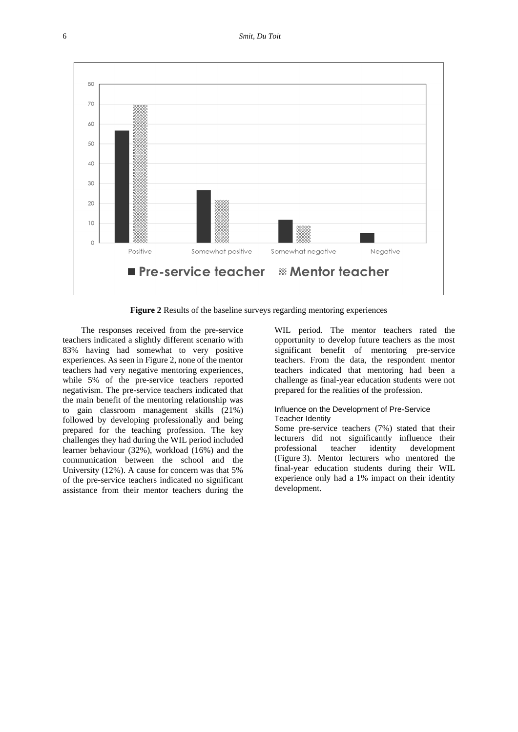

**Figure 2** Results of the baseline surveys regarding mentoring experiences

The responses received from the pre-service teachers indicated a slightly different scenario with 83% having had somewhat to very positive experiences. As seen in Figure 2, none of the mentor teachers had very negative mentoring experiences, while 5% of the pre-service teachers reported negativism. The pre-service teachers indicated that the main benefit of the mentoring relationship was to gain classroom management skills (21%) followed by developing professionally and being prepared for the teaching profession. The key challenges they had during the WIL period included learner behaviour (32%), workload (16%) and the communication between the school and the University (12%). A cause for concern was that 5% of the pre-service teachers indicated no significant assistance from their mentor teachers during the

WIL period. The mentor teachers rated the opportunity to develop future teachers as the most significant benefit of mentoring pre-service teachers. From the data, the respondent mentor teachers indicated that mentoring had been a challenge as final-year education students were not prepared for the realities of the profession.

### Influence on the Development of Pre-Service Teacher Identity

Some pre-service teachers (7%) stated that their lecturers did not significantly influence their professional teacher identity development (Figure 3). Mentor lecturers who mentored the final-year education students during their WIL experience only had a 1% impact on their identity development.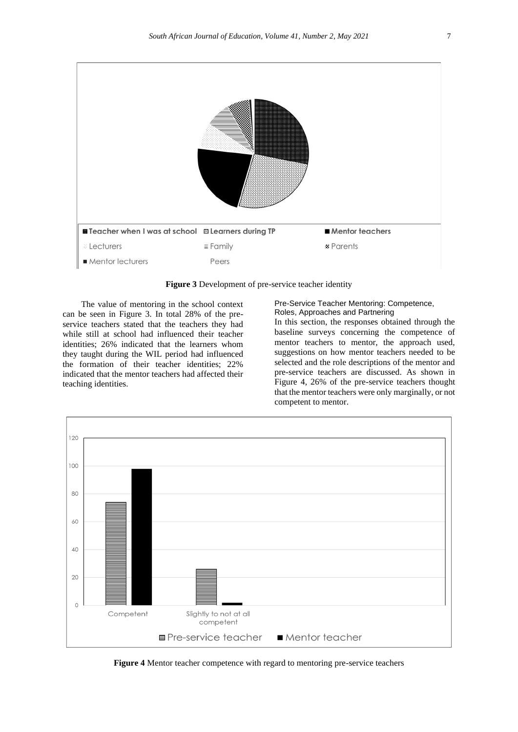

**Figure 3** Development of pre-service teacher identity

The value of mentoring in the school context can be seen in Figure 3. In total 28% of the preservice teachers stated that the teachers they had while still at school had influenced their teacher identities; 26% indicated that the learners whom they taught during the WIL period had influenced the formation of their teacher identities; 22% indicated that the mentor teachers had affected their teaching identities.

### Pre-Service Teacher Mentoring: Competence, Roles, Approaches and Partnering

In this section, the responses obtained through the baseline surveys concerning the competence of mentor teachers to mentor, the approach used, suggestions on how mentor teachers needed to be selected and the role descriptions of the mentor and pre-service teachers are discussed. As shown in Figure 4, 26% of the pre-service teachers thought that the mentor teachers were only marginally, or not competent to mentor.



**Figure 4** Mentor teacher competence with regard to mentoring pre-service teachers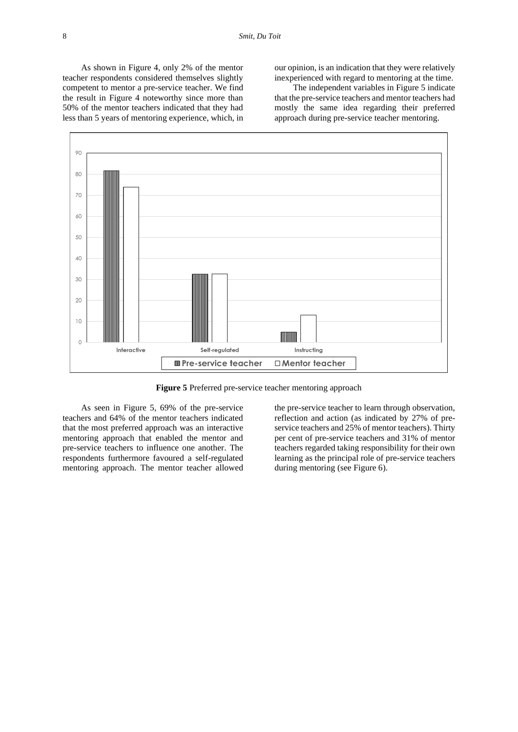As shown in Figure 4, only 2% of the mentor teacher respondents considered themselves slightly competent to mentor a pre-service teacher. We find the result in Figure 4 noteworthy since more than 50% of the mentor teachers indicated that they had less than 5 years of mentoring experience, which, in our opinion, is an indication that they were relatively inexperienced with regard to mentoring at the time.

The independent variables in Figure 5 indicate that the pre-service teachers and mentor teachers had mostly the same idea regarding their preferred approach during pre-service teacher mentoring.



**Figure 5** Preferred pre-service teacher mentoring approach

As seen in Figure 5, 69% of the pre-service teachers and 64% of the mentor teachers indicated that the most preferred approach was an interactive mentoring approach that enabled the mentor and pre-service teachers to influence one another. The respondents furthermore favoured a self-regulated mentoring approach. The mentor teacher allowed

the pre-service teacher to learn through observation, reflection and action (as indicated by 27% of preservice teachers and 25% of mentor teachers). Thirty per cent of pre-service teachers and 31% of mentor teachers regarded taking responsibility for their own learning as the principal role of pre-service teachers during mentoring (see Figure 6).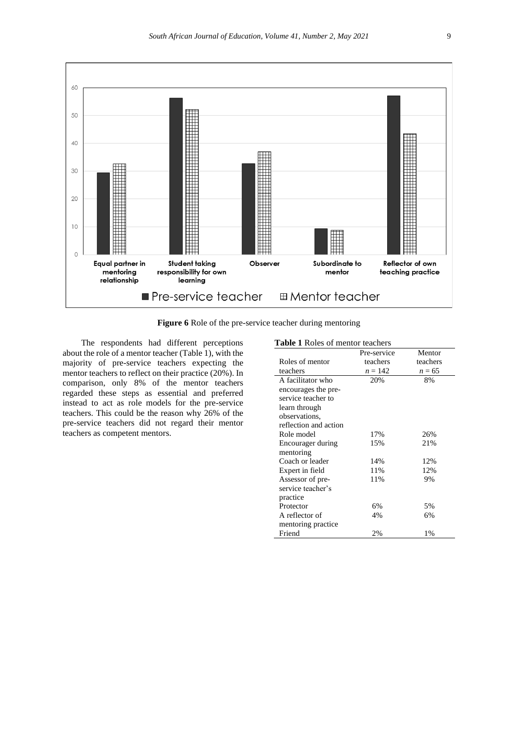

**Figure 6** Role of the pre-service teacher during mentoring

The respondents had different perceptions about the role of a mentor teacher (Table 1), with the majority of pre-service teachers expecting the mentor teachers to reflect on their practice (20%). In comparison, only 8% of the mentor teachers regarded these steps as essential and preferred instead to act as role models for the pre-service teachers. This could be the reason why 26% of the pre-service teachers did not regard their mentor teachers as competent mentors.

## **Table 1** Roles of mentor teachers

| <b>Fabic 1</b> Koles of memor teachers | Pre-service | Mentor   |
|----------------------------------------|-------------|----------|
| Roles of mentor                        | teachers    | teachers |
| teachers                               | $n = 142$   | $n = 65$ |
| A facilitator who                      | 20%         | 8%       |
| encourages the pre-                    |             |          |
| service teacher to                     |             |          |
| learn through                          |             |          |
| observations.                          |             |          |
| reflection and action                  |             |          |
| Role model                             | 17%         | 26%      |
| Encourager during                      | 15%         | 21%      |
| mentoring                              |             |          |
| Coach or leader                        | 14%         | 12%      |
| Expert in field                        | 11%         | 12%      |
| Assessor of pre-                       | 11%         | 9%       |
| service teacher's                      |             |          |
| practice                               |             |          |
| Protector                              | 6%          | 5%       |
| A reflector of                         | 4%          | 6%       |
| mentoring practice                     |             |          |
| Friend                                 | 2%          | 1%       |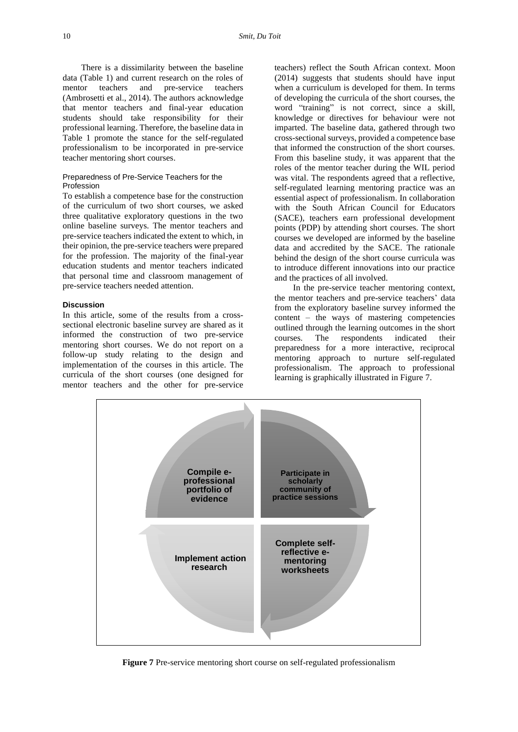There is a dissimilarity between the baseline data (Table 1) and current research on the roles of mentor teachers and pre-service teachers (Ambrosetti et al., 2014). The authors acknowledge that mentor teachers and final-year education students should take responsibility for their professional learning. Therefore, the baseline data in Table 1 promote the stance for the self-regulated professionalism to be incorporated in pre-service teacher mentoring short courses.

#### Preparedness of Pre-Service Teachers for the Profession

To establish a competence base for the construction of the curriculum of two short courses, we asked three qualitative exploratory questions in the two online baseline surveys. The mentor teachers and pre-service teachers indicated the extent to which, in their opinion, the pre-service teachers were prepared for the profession. The majority of the final-year education students and mentor teachers indicated that personal time and classroom management of pre-service teachers needed attention.

### **Discussion**

In this article, some of the results from a crosssectional electronic baseline survey are shared as it informed the construction of two pre-service mentoring short courses. We do not report on a follow-up study relating to the design and implementation of the courses in this article. The curricula of the short courses (one designed for mentor teachers and the other for pre-service

teachers) reflect the South African context. Moon (2014) suggests that students should have input when a curriculum is developed for them. In terms of developing the curricula of the short courses, the word "training" is not correct, since a skill, knowledge or directives for behaviour were not imparted. The baseline data, gathered through two cross-sectional surveys, provided a competence base that informed the construction of the short courses. From this baseline study, it was apparent that the roles of the mentor teacher during the WIL period was vital. The respondents agreed that a reflective, self-regulated learning mentoring practice was an essential aspect of professionalism. In collaboration with the South African Council for Educators (SACE), teachers earn professional development points (PDP) by attending short courses. The short courses we developed are informed by the baseline data and accredited by the SACE. The rationale behind the design of the short course curricula was to introduce different innovations into our practice and the practices of all involved.

In the pre-service teacher mentoring context, the mentor teachers and pre-service teachers' data from the exploratory baseline survey informed the content – the ways of mastering competencies outlined through the learning outcomes in the short courses. The respondents indicated their preparedness for a more interactive, reciprocal mentoring approach to nurture self-regulated professionalism. The approach to professional learning is graphically illustrated in Figure 7.



**Figure 7** Pre-service mentoring short course on self-regulated professionalism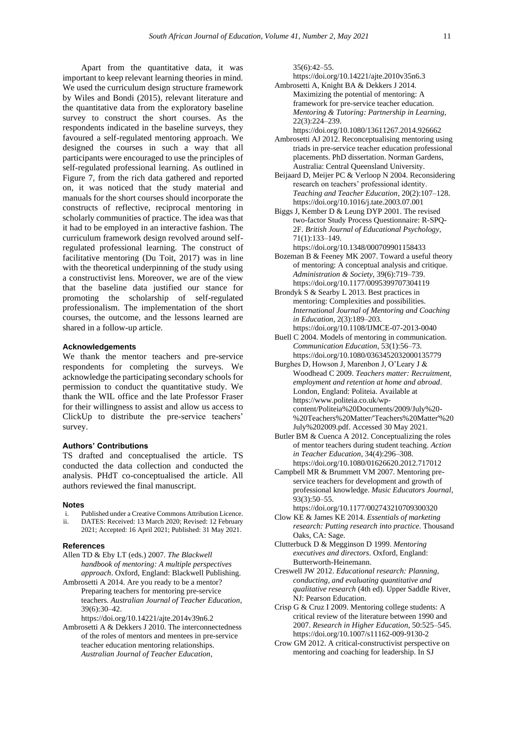Apart from the quantitative data, it was important to keep relevant learning theories in mind. We used the curriculum design structure framework by Wiles and Bondi (2015), relevant literature and the quantitative data from the exploratory baseline survey to construct the short courses. As the respondents indicated in the baseline surveys, they favoured a self-regulated mentoring approach. We designed the courses in such a way that all participants were encouraged to use the principles of self-regulated professional learning. As outlined in Figure 7, from the rich data gathered and reported on, it was noticed that the study material and manuals for the short courses should incorporate the constructs of reflective, reciprocal mentoring in scholarly communities of practice. The idea was that it had to be employed in an interactive fashion. The curriculum framework design revolved around selfregulated professional learning. The construct of facilitative mentoring (Du Toit, 2017) was in line with the theoretical underpinning of the study using a constructivist lens. Moreover, we are of the view that the baseline data justified our stance for promoting the scholarship of self-regulated professionalism. The implementation of the short courses, the outcome, and the lessons learned are shared in a follow-up article.

## **Acknowledgements**

We thank the mentor teachers and pre-service respondents for completing the surveys. We acknowledge the participating secondary schools for permission to conduct the quantitative study. We thank the WIL office and the late Professor Fraser for their willingness to assist and allow us access to ClickUp to distribute the pre-service teachers' survey.

#### **Authors' Contributions**

TS drafted and conceptualised the article. TS conducted the data collection and conducted the analysis. PHdT co-conceptualised the article. All authors reviewed the final manuscript.

#### **Notes**

- i. Published under a Creative Commons Attribution Licence. ii. DATES: Received: 13 March 2020; Revised: 12 February 2021; Accepted: 16 April 2021; Published: 31 May 2021.
- 

# **References**

- Allen TD & Eby LT (eds.) 2007. *The Blackwell handbook of mentoring: A multiple perspectives approach*. Oxford, England: Blackwell Publishing.
- Ambrosetti A 2014. Are you ready to be a mentor? Preparing teachers for mentoring pre-service teachers. *Australian Journal of Teacher Education*, 39(6):30–42.

<https://doi.org/10.14221/ajte.2014v39n6.2>

Ambrosetti A & Dekkers J 2010. The interconnectedness of the roles of mentors and mentees in pre-service teacher education mentoring relationships. *Australian Journal of Teacher Education*,

35(6):42–55.

<https://doi.org/10.14221/ajte.2010v35n6.3>

Ambrosetti A, Knight BA & Dekkers J 2014. Maximizing the potential of mentoring: A framework for pre-service teacher education. *Mentoring & Tutoring: Partnership in Learning*, 22(3):224–239. <https://doi.org/10.1080/13611267.2014.926662>

Ambrosetti AJ 2012. Reconceptualising mentoring using triads in pre-service teacher education professional

- placements. PhD dissertation. Norman Gardens, Australia: Central Queensland University. Beijaard D, Meijer PC & Verloop N 2004. Reconsidering
- research on teachers' professional identity. *Teaching and Teacher Education*, 20(2):107–128. <https://doi.org/10.1016/j.tate.2003.07.001>
- Biggs J, Kember D & Leung DYP 2001. The revised two-factor Study Process Questionnaire: R-SPQ-2F. *British Journal of Educational Psychology*, 71(1):133–149.
- <https://doi.org/10.1348/000709901158433>
- Bozeman B & Feeney MK 2007. Toward a useful theory of mentoring: A conceptual analysis and critique. *Administration & Society*, 39(6):719–739. <https://doi.org/10.1177/0095399707304119>
- Brondyk S & Searby L 2013. Best practices in mentoring: Complexities and possibilities. *International Journal of Mentoring and Coaching in Education*, 2(3):189–203. <https://doi.org/10.1108/IJMCE-07-2013-0040>
- Buell C 2004. Models of mentoring in communication. *Communication Education*, 53(1):56–73. <https://doi.org/10.1080/0363452032000135779>
- Burghes D, Howson J, Marenbon J, O'Leary J & Woodhead C 2009. *Teachers matter: Recruitment, employment and retention at home and abroad*. London, England: Politeia. Available at [https://www.politeia.co.uk/wp](https://www.politeia.co.uk/wp-content/Politeia%20Documents/2009/July%20-%20Teachers%20Matter/)[content/Politeia%20Documents/2009/July%20-](https://www.politeia.co.uk/wp-content/Politeia%20Documents/2009/July%20-%20Teachers%20Matter/) [%20Teachers%20Matter/'Teachers%20Matter'%20](https://www.politeia.co.uk/wp-content/Politeia%20Documents/2009/July%20-%20Teachers%20Matter/) [July%202009.pdf.](https://www.politeia.co.uk/wp-content/Politeia%20Documents/2009/July%20-%20Teachers%20Matter/) Accessed 30 May 2021.
- Butler BM & Cuenca A 2012. Conceptualizing the roles of mentor teachers during student teaching. *Action in Teacher Education*, 34(4):296–308. <https://doi.org/10.1080/01626620.2012.717012>
- Campbell MR & Brummett VM 2007. Mentoring preservice teachers for development and growth of professional knowledge. *Music Educators Journal*, 93(3):50–55.

<https://doi.org/10.1177/002743210709300320>

- Clow KE & James KE 2014. *Essentials of marketing research: Putting research into practice*. Thousand Oaks, CA: Sage.
- Clutterbuck D & Megginson D 1999. *Mentoring executives and directors*. Oxford, England: Butterworth-Heinemann.
- Creswell JW 2012. *Educational research: Planning, conducting, and evaluating quantitative and qualitative research* (4th ed). Upper Saddle River, NJ: Pearson Education.
- Crisp G & Cruz I 2009. Mentoring college students: A critical review of the literature between 1990 and 2007. *Research in Higher Education*, 50:525–545. <https://doi.org/10.1007/s11162-009-9130-2>
- Crow GM 2012. A critical-constructivist perspective on mentoring and coaching for leadership. In SJ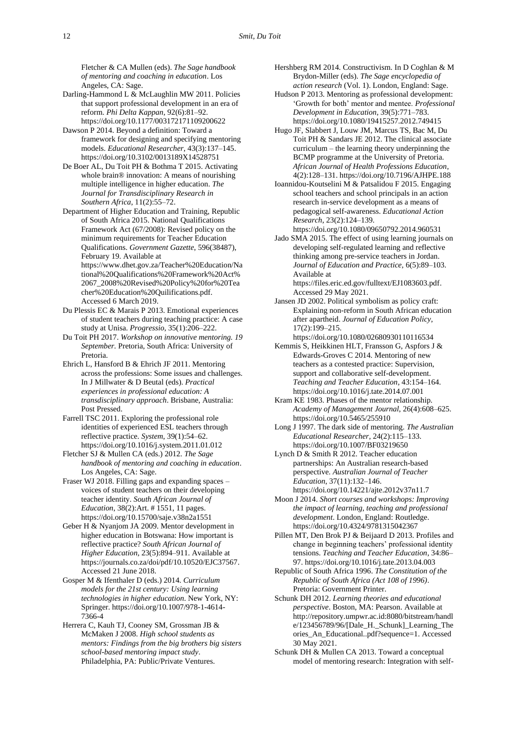Fletcher & CA Mullen (eds). *The Sage handbook of mentoring and coaching in education*. Los Angeles, CA: Sage.

- Darling-Hammond L & McLaughlin MW 2011. Policies that support professional development in an era of reform. *Phi Delta Kappan*, 92(6):81–92. <https://doi.org/10.1177/003172171109200622>
- Dawson P 2014. Beyond a definition: Toward a framework for designing and specifying mentoring models. *Educational Researcher*, 43(3):137–145. <https://doi.org/10.3102/0013189X14528751>
- De Boer AL, Du Toit PH & Bothma T 2015. Activating whole brain® innovation: A means of nourishing multiple intelligence in higher education. *The Journal for Transdisciplinary Research in Southern Africa*, 11(2):55–72.

Department of Higher Education and Training, Republic of South Africa 2015. National Qualifications Framework Act (67/2008): Revised policy on the minimum requirements for Teacher Education Qualifications. *Government Gazette*, 596(38487), February 19. Available at [https://www.dhet.gov.za/Teacher%20Education/Na](https://www.dhet.gov.za/Teacher%20Education/National%20Qualifications%20Framework%20Act%2067_2008%20Revised%20Policy%20for%20Teacher%20Education%20Quilifications.pdf) [tional%20Qualifications%20Framework%20Act%](https://www.dhet.gov.za/Teacher%20Education/National%20Qualifications%20Framework%20Act%2067_2008%20Revised%20Policy%20for%20Teacher%20Education%20Quilifications.pdf) [2067\\_2008%20Revised%20Policy%20for%20Tea](https://www.dhet.gov.za/Teacher%20Education/National%20Qualifications%20Framework%20Act%2067_2008%20Revised%20Policy%20for%20Teacher%20Education%20Quilifications.pdf) [cher%20Education%20Quilifications.pdf.](https://www.dhet.gov.za/Teacher%20Education/National%20Qualifications%20Framework%20Act%2067_2008%20Revised%20Policy%20for%20Teacher%20Education%20Quilifications.pdf)

Accessed 6 March 2019.

Du Plessis EC & Marais P 2013. Emotional experiences of student teachers during teaching practice: A case study at Unisa. *Progressio*, 35(1):206–222.

Du Toit PH 2017. *Workshop on innovative mentoring. 19 September.* Pretoria, South Africa: University of Pretoria.

Ehrich L, Hansford B & Ehrich JF 2011. Mentoring across the professions: Some issues and challenges. In J Millwater & D Beutal (eds). *Practical experiences in professional education: A transdisciplinary approach*. Brisbane, Australia: Post Pressed.

Farrell TSC 2011. Exploring the professional role identities of experienced ESL teachers through reflective practice. *System*, 39(1):54–62. <https://doi.org/10.1016/j.system.2011.01.012>

Fletcher SJ & Mullen CA (eds.) 2012. *The Sage handbook of mentoring and coaching in education*. Los Angeles, CA: Sage.

Fraser WJ 2018. Filling gaps and expanding spaces – voices of student teachers on their developing teacher identity. *South African Journal of Education*, 38(2):Art. # 1551, 11 pages. <https://doi.org/10.15700/saje.v38n2a1551>

Geber H & Nyanjom JA 2009. Mentor development in higher education in Botswana: How important is reflective practice? *South African Journal of Higher Education*, 23(5):894–911. Available at [https://journals.co.za/doi/pdf/10.10520/EJC37567.](https://journals.co.za/doi/pdf/10.10520/EJC37567) Accessed 21 June 2018.

Gosper M & Ifenthaler D (eds.) 2014. *Curriculum models for the 21st century: Using learning technologies in higher education*. New York, NY: Springer. [https://doi.org/10.1007/978-1-4614-](https://doi.org/10.1007/978-1-4614-7366-4) [7366-4](https://doi.org/10.1007/978-1-4614-7366-4)

Herrera C, Kauh TJ, Cooney SM, Grossman JB & McMaken J 2008. *High school students as mentors: Findings from the big brothers big sisters school-based mentoring impact study*. Philadelphia, PA: Public/Private Ventures.

Hershberg RM 2014. Constructivism. In D Coghlan & M Brydon-Miller (eds). *The Sage encyclopedia of action research* (Vol. 1). London, England: Sage.

Hudson P 2013. Mentoring as professional development: 'Growth for both' mentor and mentee. *Professional Development in Education*, 39(5):771–783. <https://doi.org/10.1080/19415257.2012.749415>

Hugo JF, Slabbert J, Louw JM, Marcus TS, Bac M, Du Toit PH & Sandars JE 2012. The clinical associate curriculum – the learning theory underpinning the BCMP programme at the University of Pretoria. *African Journal of Health Professions Education*, 4(2):128–131. <https://doi.org/10.7196/AJHPE.188>

Ioannidou-Koutselini M & Patsalidou F 2015. Engaging school teachers and school principals in an action research in-service development as a means of pedagogical self-awareness. *Educational Action Research*, 23(2):124–139.

<https://doi.org/10.1080/09650792.2014.960531> Jado SMA 2015. The effect of using learning journals on

developing self-regulated learning and reflective thinking among pre-service teachers in Jordan. *Journal of Education and Practice*, 6(5):89–103. Available at

[https://files.eric.ed.gov/fulltext/EJ1083603.pdf.](https://files.eric.ed.gov/fulltext/EJ1083603.pdf)  Accessed 29 May 2021.

Jansen JD 2002. Political symbolism as policy craft: Explaining non-reform in South African education after apartheid. *Journal of Education Policy*, 17(2):199–215.

<https://doi.org/10.1080/02680930110116534>

Kemmis S, Heikkinen HLT, Fransson G, Aspfors J & Edwards-Groves C 2014. Mentoring of new teachers as a contested practice: Supervision, support and collaborative self-development. *Teaching and Teacher Education*, 43:154–164. <https://doi.org/10.1016/j.tate.2014.07.001>

Kram KE 1983. Phases of the mentor relationship. *Academy of Management Journal*, 26(4):608–625. <https://doi.org/10.5465/255910>

Long J 1997. The dark side of mentoring. *The Australian Educational Researcher*, 24(2):115–133. <https://doi.org/10.1007/BF03219650>

Lynch D & Smith R 2012. Teacher education partnerships: An Australian research-based perspective. *Australian Journal of Teacher Education*, 37(11):132–146. <https://doi.org/10.14221/ajte.2012v37n11.7>

Moon J 2014. *Short courses and workshops: Improving the impact of learning, teaching and professional development*. London, England: Routledge. <https://doi.org/10.4324/9781315042367>

Pillen MT, Den Brok PJ & Beijaard D 2013. Profiles and change in beginning teachers' professional identity tensions. *Teaching and Teacher Education*, 34:86– 97[. https://doi.org/10.1016/j.tate.2013.04.003](https://doi.org/10.1016/j.tate.2013.04.003)

Republic of South Africa 1996. *The Constitution of the Republic of South Africa (Act 108 of 1996)*. Pretoria: Government Printer.

Schunk DH 2012. *Learning theories and educational perspective*. Boston, MA: Pearson. Available at [http://repository.umpwr.ac.id:8080/bitstream/handl](http://repository.umpwr.ac.id:8080/bitstream/handle/123456789/96/%5bDale_H._Schunk%5d_Learning_Theories_An_Educational..pdf?sequence=1) [e/123456789/96/\[Dale\\_H.\\_Schunk\]\\_Learning\\_The](http://repository.umpwr.ac.id:8080/bitstream/handle/123456789/96/%5bDale_H._Schunk%5d_Learning_Theories_An_Educational..pdf?sequence=1) [ories\\_An\\_Educational..pdf?sequence=1.](http://repository.umpwr.ac.id:8080/bitstream/handle/123456789/96/%5bDale_H._Schunk%5d_Learning_Theories_An_Educational..pdf?sequence=1) Accessed 30 May 2021.

Schunk DH & Mullen CA 2013. Toward a conceptual model of mentoring research: Integration with self-